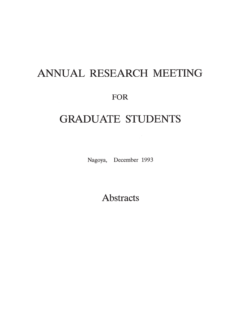# **ANNUAL RESEARCH MEETING**

## **FOR**

## **GRADUATE STUDENTS**

Nagoya, December 1993

**Abstracts**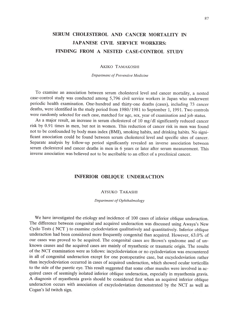## **SERUM CHOLESTEROL AND CANCER MORTALITY IN JAPANESE CIVIL SERVICE WORKERS: FINDING FROM A NESTED CASE-CONTROL STUDY**

#### AKIKO TAMAKOSHI

#### *Department of Preventive Medicine*

To examine an association between serum cholesterol level and cancer mortality, a nested case-control study was conducted among 5,796 civil service workers in Japan who underwent periodic health examination. One-hundred and thirty-one deaths (cases), including 73 cancer deaths, were identified in the study period from 1980/1981 to September 1, 1991. Two controls were randomly selected for each case, matched for age, sex, year of examination and job status.

As a major result, an increase in serum cholesterol of 10 mg/dl significantly reduced cancer risk by 0.91 times in men, but not in women. This reduction of cancer risk in men was found not to be confounded by body mass index (BMI), smoking habits, and drinking habits. No significant association could be found between serum cholesterol level and specific sites of cancer. Separate analysis by follow-up period significantly revealed an inverse association between serum cholesterol and cancer deaths in men in 6 years or later after serum measurement. This inverse association was believed not to be ascribable to an effect of a preclinical cancer.

#### **INFERIOR OBLIQUE UNDERACTION**

#### ATSUKO TAKASHI

#### *Department of Ophthalmology*

We have investigated the etiology and incidence of 100 cases of inferior oblique underaction. The difference between congenital and acquired underaction was discussed using Awaya's New Cyclo Tests ( NCT ) to examine cyclodeviation qualitatively and quantitatively. Inferior oblique underaction had been considered more frequently congenital than acquired. However, 63.0% of our cases was proved to be acquired. The congenital cases are Brown's syndrome and of unknown causes and the acquired cases are mainly of myasthenic or traumatic origin. The results of the NCT examination were as follows: incyclodeviation or no cyclodeviation was encountered in all of congenital underaction except for one postoperative case, but excyclodeviation rather than incyclodeviation occurred in cases of acquired underaction, which showed ocular torticollis to the side of the paretic eye. This result suggested that some other muscles were involved in acquired cases of seemingly isolated inferior oblique underaction, especially in myasthenia gravis. A diagnosis of myasthenia gravis should be considered first when an acquired inferior oblique underaction occurs with association of excyclodeviation demonstrated by the NCT as well as Cogan's lid twitch sign.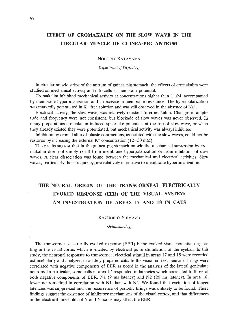## **EFFECT OF CROMAKALIM ON THE SLOW WAVE IN THE CIRCULAR MUSCLE OF GUINEA-PIG ANTRUM**

#### NOBURU KATAYAMA

*Department* of Physiology

In circular muscle strips of the antrum of guinea-pig stomach, the effects of cromakalim were studied on mechanical activity and intracellular membrane potential.

Cromakalim inhibited mechanical activity at concentrations higher than  $1 \mu M$ , accompanied by membrane hyperpolarization and a decrease in membrane resistance. The hyperpolarization was markedly potentiated in  $K^+$ -free solution and was still observed in the absence of Na<sup>+</sup>.

Electrical activity, the slow wave, was relatively resistant to cromakalim. Changes in amplitude and frequency were not consistent, but blockade of slow waves was never observed. In many preparations cromakalim induced spike-like potentials at the top of slow wave, or when they already existed they were potentiated, but mechanical activity was always inhibited.

Inhibition by cromakalim of phasic contractions, associated with the slow waves, could not be restored by increasing the external  $K^+$  concentration (12-30 mM).

The results suggest that in the guinea-pig stomach muscle the mechanical supression by cromakalim does not simply result from membrane hyperpolarization or from inhibition of slow waves. A clear dissociation was found between the mechanical and electrical activities. Slow waves, particularly their frequency, are relatively insensitive to membrane hyperpolarization.

## **THE NEURAL ORIGIN OF THE TRANSCORNEAL ELECTRICALLY EVOKED RESPONSE (EER) OF THE VISUAL SYSTEM; AN INVESTIGATION OF AREAS 17 AND 18 IN CATS**

#### KAZUHIRO SHIMAZU

*Ophthalmology*

The transcorneal electrically evoked response (EER) is the evoked visual potential originating in the visual cortex which is elicited by electrical pulse stimulation of the eyeball. In this study, the neuronal responses to transcorneal electrical stimuli in areas 17 and 18 were recorded extracellularly and analyzed in acutely prepared cats. In the visual cortex, neuronal firings were correlated with negative components of EER as noted in the analysis of the lateral geniculate neurons. In particular, some cells in area 17 responded in latencies which correlated to those of both negative components of EER, N1 (9 ms latency) and N2 (20 ms latency). In area 18, fewer neurons fired in correlation with N1 than with N2. We found that excitation of longer latencies was suppressed and the occurrence of periodic firings was unlikely to be found. These findings suggest the existence of inhibitory mechanisms of the visual cortex, and that differences in the electrical thresholds of X and Y axons may affect the EER.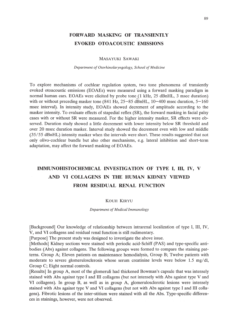### **FORWARD MASKING OF TRANSIENTLY EVOKED OTOACOUSTIC EMISSIONS**

#### MASAYUKI SAWAKI

#### *Department of Otorhinolaryngology, School of Medicine*

To explore mechanisms of cochlear regulation system, two tone phenomena of transiently evoked otoacoustic emissions (EOAEs) were measured using a forward masking paradigm in normal human ears. EOAEs were elicited by probe tone (1 kHz, 25 dBnHL, 3 msec duration) with or without preceding masker tone (841 Hz,  $25-85$  dBnHL,  $10-400$  msec duration,  $5-160$ msec interval). In intensity study, EOAEs showed decrement of amplitude according to the masker intensity. To evaluate effects of stapedial reflex (SR), the forward masking in facial palsy cases with or without SR were measured. For the higher intensity masker, SR effects were observed. Duration study showed a little decrement with lower intensity below SR threshold and over 20 msec duration masker. Interval study showed the decrement even with low and middle (35/55 dBnHL) intensity masker when the intervals were short. These results suggested that not only olivo-cochlear bundle but also other mechanisms, e.g. lateral inhibition and short-term adaptation, may affect the forward masking of EOAEs.

## **IMMUNOHISTOCHEMICAL INVESTIGATION OF TYPE I, III, IV, V AND VI COLLAGENS IN THE HUMAN KIDNEY VIEWED FROM RESIDUAL RENAL FUNCTION**

#### KOUJI KIRYU

#### *Department of Medical Immunology*

[Background] Our knowledge of relationship between intrarenal localization of type I, III, IV, V, and VI collagens and residual renal function is still rudimentary.

[Purpose] The present study was designed to investigate the above issue.

[Methods] Kidney sections were stained with periodic acid-Schiff (PAS) and type-specific antibodies (Abs) against collagens. The following groups were formed to compare the staining patterns. Group A; Eleven patients on maintenance hemodialysis, Group B; Twelve patients with moderate to severe glomerulosclerosis whose serum creatinine levels were below 1.5 mg/dl, Group C; Eight normal controls.

[Results] In group A, most of the glomeruli had thickened Bowman's capsule that was intensely stained with Abs against type I and III collagens (but not intensely with Abs against type V and VI collagens). In group B, as· well as in group A, glomerulosclerotic lesions were intensely stained with Abs against type V and VI collagens (but not with Abs against type I and III collagens). Fibrotic lesions of the inter-stitium were stained with all the Abs. Type-specific differences in stainings, however, were not observed.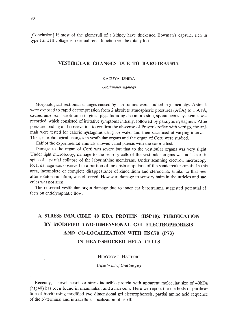[Conclusion] If most of the glomeruli of a kidney have thickened Bowman's capsule, rich in type I and III collagens, residual renal function will be totally lost.

#### **VESTIBULAR CHANGES DUE TO BAROTRAUMA**

#### KAzuyA ISHIDA

*Otorhinolaryngology*

Morphological vestibular changes caused by barotrauma were studied in guinea pigs. Animals were exposed to rapid decompression from 2 absolute atmospheric pressures (ATA) to 1 ATA, caused inner ear barotrauma in ginea pigs. Induring decompression, spontaneous nystagmus was recorded, which consisted of irritative symptoms initially, followed by paralytic nystagmus. After pressure loading and observation to confirm the abscense of Preyer's reflex with vertigo, the animals were tested for caloric nystagmus using ice water and then sacrificed at varying intervals. Then, morphological changes in vestibular organs and the organ of Corti were studied.

Half of the experimental animals showed canal paresis with the caloric test.

Damage to the organ of Corti was severe but that to the vestibular organs was very slight. Under light microscopy, damage to the sensory cells of the vestibular organs was not clear, in spite of a partial collapse of the labyrinthine membrans. Under scanning electron microscopy, local damage was observed in a portion of the crista ampularis of the semicircular canals. In this area, incomplete or complete disappearance of kinocillium and stereocilia, similar to that seen after rotatostimulation, was observed. However, damage to sensory hairs in the utricles and saccules was not seen.

The observed vestibular organ damage due to inner ear barotrauma suggested potential effects on endolymphatic flow.

## **A STRESS-INDUCIBLE 40 KDA PROTEIN (HSP40): PURIFICATION BY MODIFIED TWO-DIMENSIONAL GEL ELECTROPHORESIS AND CO-LOCALIZATION WITH HSC70 (P73) IN HEAT-SHOCKED HELA CELLS**

#### HIROTOMO HATTORI

*Department of Oral Surgery*

Recently, a novel heart- or stress-inducible protein with apparent molecular size of 40kDa (hsp40) has been found in mammalian and avian cells. Here we report the methods of purification of hsp40 using modified two-dimensional gel electrophoresis, partial amino acid sequence of the N-terminal and intracellular localization of hsp40.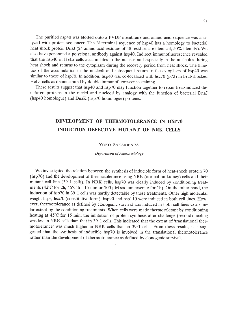The purified hsp40 was blotted onto a PVDF membrane and amino acid sequence was analyzed with protein sequencer. The N-terminal sequence of hsp40 has a homology to bacterial heat shock protein DnaJ (24 amino acid residues of 48 residues are identical, 50% identity). We also have generated a polyclonal antibody against hsp40. Indirect immunofluorescence revealed that the hsp40 in HeLa cells accumulates in the nucleus and especially in the nucleolus during heat shock and returns to the cytoplasm during the recovery period from heat shock. The kinetics of the accumulation in the nucleoli and subsequent return to the cytoplasm of hsp40 was similar to those of hsp70. **In** addition, hsp40 was co-localized with hsc70 (p73) in heat-shocked HeLa cells as demonstrated by double immunofluorescence staining.

These results suggest that hsp40 and hsp70 may function together to repair heat-induced denatured proteins in the nuclei and nucleoli by analogy with the function of bacterial DnaJ (hsp40 homologue) and DnaK (hsp70 homologue) proteins.

## **DEVELOPMENT OF THERMOTOLERANCE IN HSP70 INDUCTION-DEFECTIVE MUTANT OF NRK CELLS**

#### YOKO SAKAKIBARA

*Department of Anesthesiology* 

We investigated the relation between the synthesis of inducible form of heat-shock protein 70 (hsp70) and the development of thermotolerance using NRK (normal rat kidney) cells and their mutant cell line (39-1 cells). **In** NRK cells, hsp70 was clearly induced by conditioning treatments (42°C for 2h, 45°C for 15 min or 100  $\mu$ M sodium arsenite for 1h). On the other hand, the induction of hsp70 in 39-1 cells was hardly detectable by these treatments. Other high molecular weight hsps, hsc70 (constitutive form), hsp90 and hsp110 were induced in both cell lines. However, thermotolerance as defined by clonogenic survival was induced in both cell lines to a similar extent by the conditioning treatments. When cells were made thermotolerant by conditioning heating at 45°C for 15 min, the inhibition of protein synthesis after challenge (second) heating was less in NRK cells than that in 39-1 cells. This indicated that the extent of 'translational thermotolerance' was much higher in NRK cells than in 39-1 cells. From these results, it is suggested that the synthesis of inducible hsp70 is involved in the translational thermotolerance rather than the development of thermotolerance as defined by clonogenic survival.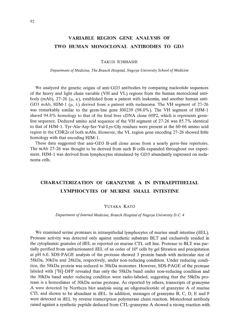## **VARIABLE REGION GENE ANALYSIS OF TWO HUMAN MONOCLONAL ANTIBODIES TO GD3**

TAKUJI ICHIHASHI

*Department ofMedicine, The Branch Hospital, Nagoya University School of Medicine*

We analyzed the genetic origins of anti-GD3 antibodies by comparing nucleotide sequences of the heavy and light chain variable (VH and VL) regions from the human monoclonal antibody (mAb), 27-26 ( $\mu$ ,  $\kappa$ ), established from a patient with leukemia, and another human anti-GD3 mAb, HJM-1 ( $\mu$ ,  $\lambda$ ) derived from a patient with melanoma. The VH segment of 27-26 was remarkably similar to the germ-line gene 100239 (98.0%). The VH segment of HJM-l shared 94.8% homology to that of the fetal liver cDNA clone 60P2, which is represents germline sequence. Deduced amino acid sequence of the VH segment of 27-26 was 85.7% identical to that of HJM-l. Tyr-Ala-Asp-Ser-Val-Lys-Gly residues were present at the 60-66 amino acid region in the CDR2s of both mAbs. However, the VL region gene encoding 27-26 showed little homology with that encoding HJM-l.

These data suggested that anti-GD3 B-cell clone arose from a nearly germ-line repertoire. The mAb 27-26 was thought to be derived from such B cells expanded throughout our experiment. HJM-l was derived from lymphocytes stimulated by GD3 abundantly expressed on melanoma cells.

## **CHARACTERIZATION OF GRANZYME A IN INTRAEPITHELIAL LYMPHOCYTES OF MURINE SMALL INTESTINE**

#### YUTAKA KATO

#### *Department ofInternal Medicine, Branch Hospital ofNagoya University D.* C. 4

We examined serine proteases in intraepithelial lymphocytes of murine small intestine (iIEL). Protease activity was detected only against synthetic substrate BLT and exclusively resided in the cytoplasmic granules of iIEL as reported on murine CTL cell line. Protease to BLT was partially purified from unfractionated iIEL of an order of  $10<sup>8</sup>$  cells by gel filtration and precipitation at pH 6.0. SDS-PAGE analysis of the protease showed 3 protein bands with molecular size of 58kDa, 30kDa and 28kDa, respectively, under non-reducing condition. Under reducing condition, the 58kDa protein was reduced to 30kDa monomer. However, SDS-PAGE of the protease labeled with  $[3H]$ -DFP revealed that only the 58kDa band under non-reducing condition and the 30kDa band under reducing condition were radio-labeled, suggesting that the 58kDa protease is a homodimer of 30kDa serine protease. As reported by others, transcripts of granzyme A were detected by Northern blot analysis using an oligonucleotide of granzyme A of murine CTL and shown to be abundant in iIEL. In addition, messages of granzyme B, C, D, E and F were detected in iIEL by reverse transcription polymerase chain reaction. Monoclonal antibody raised against a synthetic peptide deduced from CTL-granzyme A showed a strong reaction with